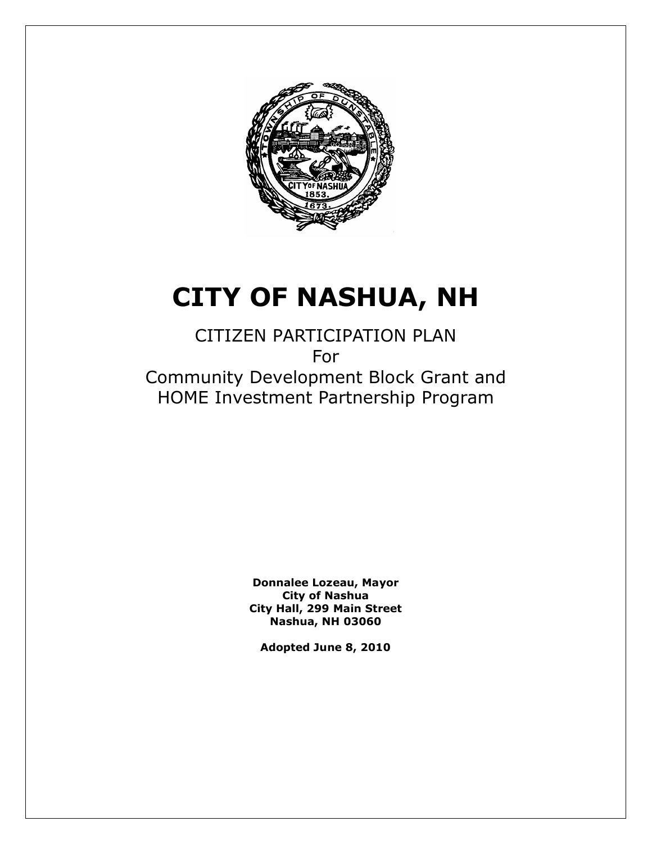

# **CITY OF NASHUA, NH**

CITIZEN PARTICIPATION PLAN For Community Development Block Grant and HOME Investment Partnership Program

> **Donnalee Lozeau, Mayor City of Nashua City Hall, 299 Main Street Nashua, NH 03060**

**Adopted June 8, 2010**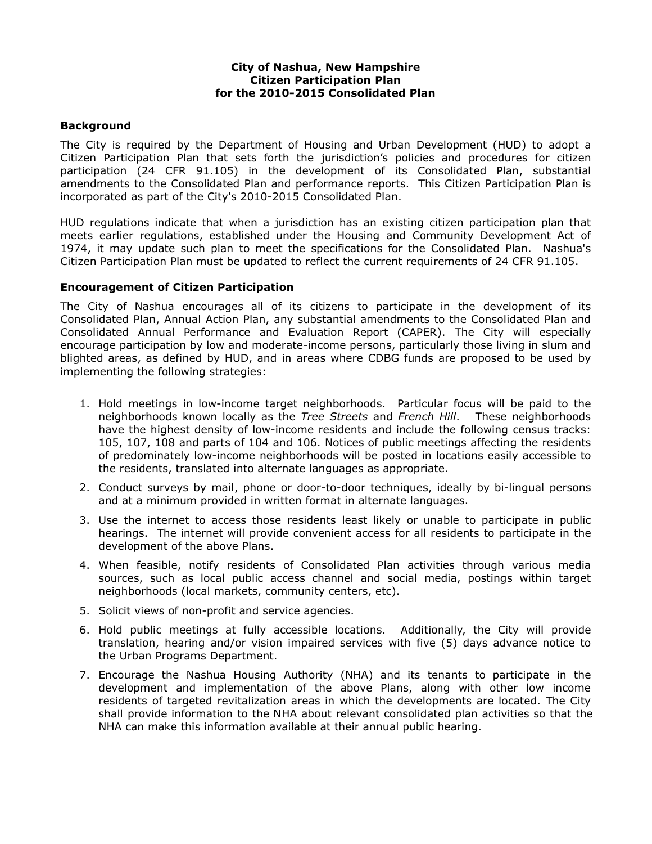#### **City of Nashua, New Hampshire Citizen Participation Plan for the 2010-2015 Consolidated Plan**

## **Background**

The City is required by the Department of Housing and Urban Development (HUD) to adopt a Citizen Participation Plan that sets forth the jurisdiction's policies and procedures for citizen participation (24 CFR 91.105) in the development of its Consolidated Plan, substantial amendments to the Consolidated Plan and performance reports. This Citizen Participation Plan is incorporated as part of the City's 2010-2015 Consolidated Plan.

HUD regulations indicate that when a jurisdiction has an existing citizen participation plan that meets earlier regulations, established under the Housing and Community Development Act of 1974, it may update such plan to meet the specifications for the Consolidated Plan. Nashua's Citizen Participation Plan must be updated to reflect the current requirements of 24 CFR 91.105.

## **Encouragement of Citizen Participation**

The City of Nashua encourages all of its citizens to participate in the development of its Consolidated Plan, Annual Action Plan, any substantial amendments to the Consolidated Plan and Consolidated Annual Performance and Evaluation Report (CAPER). The City will especially encourage participation by low and moderate-income persons, particularly those living in slum and blighted areas, as defined by HUD, and in areas where CDBG funds are proposed to be used by implementing the following strategies:

- 1. Hold meetings in low-income target neighborhoods. Particular focus will be paid to the neighborhoods known locally as the *Tree Streets* and *French Hill*. These neighborhoods have the highest density of low-income residents and include the following census tracks: 105, 107, 108 and parts of 104 and 106. Notices of public meetings affecting the residents of predominately low-income neighborhoods will be posted in locations easily accessible to the residents, translated into alternate languages as appropriate.
- 2. Conduct surveys by mail, phone or door-to-door techniques, ideally by bi-lingual persons and at a minimum provided in written format in alternate languages.
- 3. Use the internet to access those residents least likely or unable to participate in public hearings. The internet will provide convenient access for all residents to participate in the development of the above Plans.
- 4. When feasible, notify residents of Consolidated Plan activities through various media sources, such as local public access channel and social media, postings within target neighborhoods (local markets, community centers, etc).
- 5. Solicit views of non-profit and service agencies.
- 6. Hold public meetings at fully accessible locations. Additionally, the City will provide translation, hearing and/or vision impaired services with five (5) days advance notice to the Urban Programs Department.
- 7. Encourage the Nashua Housing Authority (NHA) and its tenants to participate in the development and implementation of the above Plans, along with other low income residents of targeted revitalization areas in which the developments are located. The City shall provide information to the NHA about relevant consolidated plan activities so that the NHA can make this information available at their annual public hearing.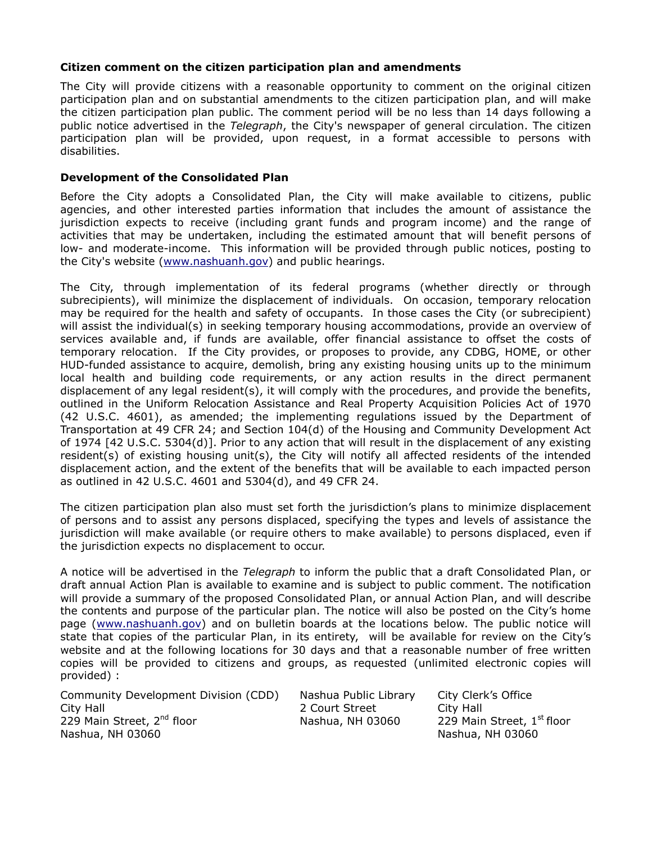## **Citizen comment on the citizen participation plan and amendments**

The City will provide citizens with a reasonable opportunity to comment on the original citizen participation plan and on substantial amendments to the citizen participation plan, and will make the citizen participation plan public. The comment period will be no less than 14 days following a public notice advertised in the *Telegraph*, the City's newspaper of general circulation. The citizen participation plan will be provided, upon request, in a format accessible to persons with disabilities.

## **Development of the Consolidated Plan**

Before the City adopts a Consolidated Plan, the City will make available to citizens, public agencies, and other interested parties information that includes the amount of assistance the jurisdiction expects to receive (including grant funds and program income) and the range of activities that may be undertaken, including the estimated amount that will benefit persons of low- and moderate-income. This information will be provided through public notices, posting to the City's website ([www.nashuanh.gov](http://www.nashuanh.gov)) and public hearings.

The City, through implementation of its federal programs (whether directly or through subrecipients), will minimize the displacement of individuals. On occasion, temporary relocation may be required for the health and safety of occupants. In those cases the City (or subrecipient) will assist the individual(s) in seeking temporary housing accommodations, provide an overview of services available and, if funds are available, offer financial assistance to offset the costs of temporary relocation. If the City provides, or proposes to provide, any CDBG, HOME, or other HUD-funded assistance to acquire, demolish, bring any existing housing units up to the minimum local health and building code requirements, or any action results in the direct permanent displacement of any legal resident(s), it will comply with the procedures, and provide the benefits, outlined in the Uniform Relocation Assistance and Real Property Acquisition Policies Act of 1970 (42 U.S.C. 4601), as amended; the implementing regulations issued by the Department of Transportation at 49 CFR 24; and Section 104(d) of the Housing and Community Development Act of 1974 [42 U.S.C. 5304(d)]. Prior to any action that will result in the displacement of any existing resident(s) of existing housing unit(s), the City will notify all affected residents of the intended displacement action, and the extent of the benefits that will be available to each impacted person as outlined in 42 U.S.C. 4601 and 5304(d), and 49 CFR 24.

The citizen participation plan also must set forth the jurisdiction's plans to minimize displacement of persons and to assist any persons displaced, specifying the types and levels of assistance the jurisdiction will make available (or require others to make available) to persons displaced, even if the jurisdiction expects no displacement to occur.

A notice will be advertised in the *Telegraph* to inform the public that a draft Consolidated Plan, or draft annual Action Plan is available to examine and is subject to public comment. The notification will provide a summary of the proposed Consolidated Plan, or annual Action Plan, and will describe the contents and purpose of the particular plan. The notice will also be posted on the City's home page ([www.nashuanh.gov](http://www.nashuanh.gov)) and on bulletin boards at the locations below. The public notice will state that copies of the particular Plan, in its entirety, will be available for review on the City's website and at the following locations for 30 days and that a reasonable number of free written copies will be provided to citizens and groups, as requested (unlimited electronic copies will provided) :

Community Development Division (CDD) Nashua Public Library City Clerk's Office City Hall Court Street City Hall City Hall 229 Main Street City Hall 229 Main Nashua, NH 03060 Nashua, NH 03060

Nashua, NH 03060 229 Main Street,  $1<sup>st</sup>$  floor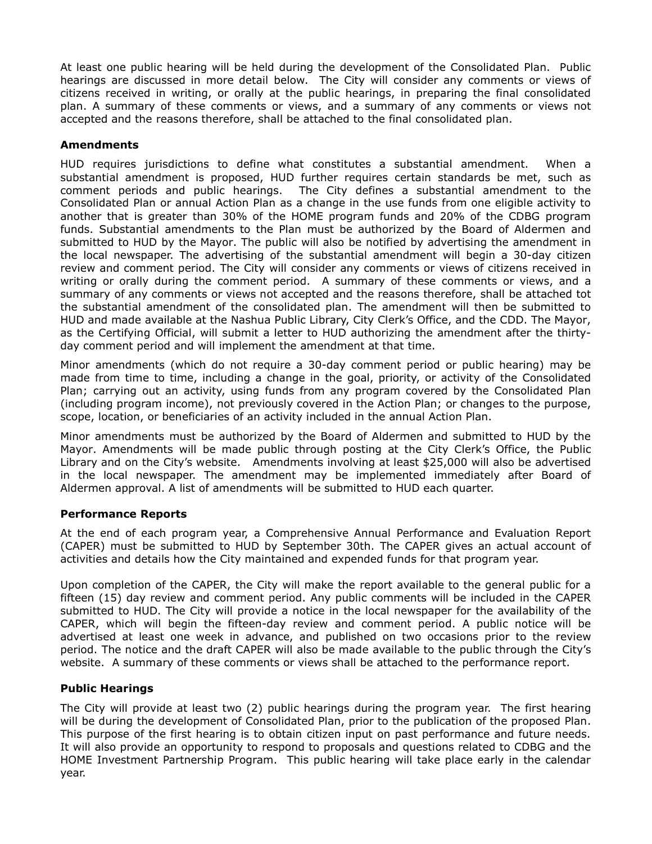At least one public hearing will be held during the development of the Consolidated Plan. Public hearings are discussed in more detail below. The City will consider any comments or views of citizens received in writing, or orally at the public hearings, in preparing the final consolidated plan. A summary of these comments or views, and a summary of any comments or views not accepted and the reasons therefore, shall be attached to the final consolidated plan.

## **Amendments**

HUD requires jurisdictions to define what constitutes a substantial amendment. When a substantial amendment is proposed, HUD further requires certain standards be met, such as comment periods and public hearings. The City defines a substantial amendment to the Consolidated Plan or annual Action Plan as a change in the use funds from one eligible activity to another that is greater than 30% of the HOME program funds and 20% of the CDBG program funds. Substantial amendments to the Plan must be authorized by the Board of Aldermen and submitted to HUD by the Mayor. The public will also be notified by advertising the amendment in the local newspaper. The advertising of the substantial amendment will begin a 30-day citizen review and comment period. The City will consider any comments or views of citizens received in writing or orally during the comment period. A summary of these comments or views, and a summary of any comments or views not accepted and the reasons therefore, shall be attached tot the substantial amendment of the consolidated plan. The amendment will then be submitted to HUD and made available at the Nashua Public Library, City Clerk's Office, and the CDD. The Mayor, as the Certifying Official, will submit a letter to HUD authorizing the amendment after the thirtyday comment period and will implement the amendment at that time.

Minor amendments (which do not require a 30-day comment period or public hearing) may be made from time to time, including a change in the goal, priority, or activity of the Consolidated Plan; carrying out an activity, using funds from any program covered by the Consolidated Plan (including program income), not previously covered in the Action Plan; or changes to the purpose, scope, location, or beneficiaries of an activity included in the annual Action Plan.

Minor amendments must be authorized by the Board of Aldermen and submitted to HUD by the Mayor. Amendments will be made public through posting at the City Clerk's Office, the Public Library and on the City's website. Amendments involving at least \$25,000 will also be advertised in the local newspaper. The amendment may be implemented immediately after Board of Aldermen approval. A list of amendments will be submitted to HUD each quarter.

# **Performance Reports**

At the end of each program year, a Comprehensive Annual Performance and Evaluation Report (CAPER) must be submitted to HUD by September 30th. The CAPER gives an actual account of activities and details how the City maintained and expended funds for that program year.

Upon completion of the CAPER, the City will make the report available to the general public for a fifteen (15) day review and comment period. Any public comments will be included in the CAPER submitted to HUD. The City will provide a notice in the local newspaper for the availability of the CAPER, which will begin the fifteen-day review and comment period. A public notice will be advertised at least one week in advance, and published on two occasions prior to the review period. The notice and the draft CAPER will also be made available to the public through the City's website. A summary of these comments or views shall be attached to the performance report.

# **Public Hearings**

The City will provide at least two (2) public hearings during the program year. The first hearing will be during the development of Consolidated Plan, prior to the publication of the proposed Plan. This purpose of the first hearing is to obtain citizen input on past performance and future needs. It will also provide an opportunity to respond to proposals and questions related to CDBG and the HOME Investment Partnership Program. This public hearing will take place early in the calendar year.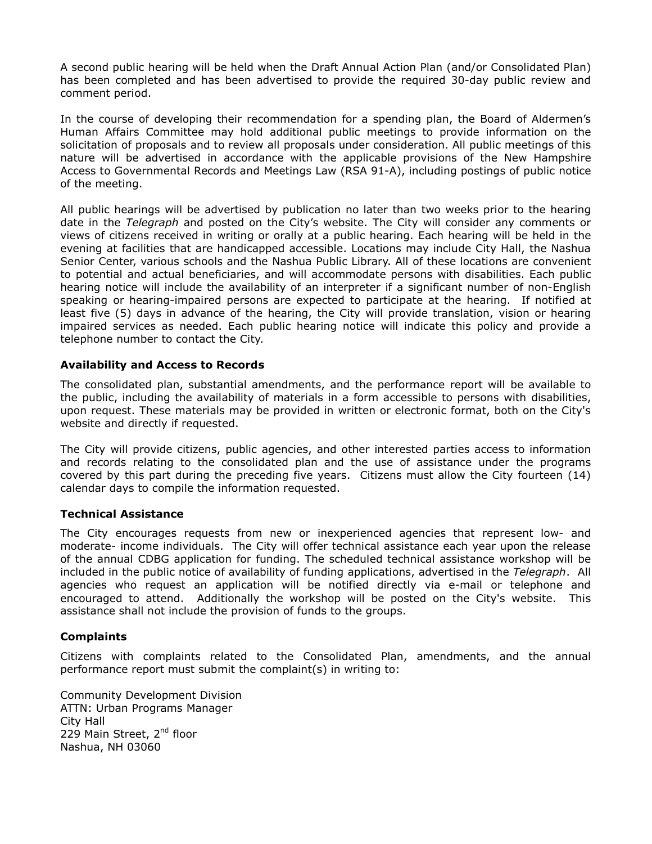A second public hearing will be held when the Draft Annual Action Plan (and/or Consolidated Plan) has been completed and has been advertised to provide the required 30-day public review and comment period.

In the course of developing their recommendation for a spending plan, the Board of Aldermen's Human Affairs Committee may hold additional public meetings to provide information on the solicitation of proposals and to review all proposals under consideration. All public meetings of this nature will be advertised in accordance with the applicable provisions of the New Hampshire Access to Governmental Records and Meetings Law (RSA 91-A), including postings of public notice of the meeting.

All public hearings will be advertised by publication no later than two weeks prior to the hearing date in the *Telegraph* and posted on the City's website. The City will consider any comments or views of citizens received in writing or orally at a public hearing. Each hearing will be held in the evening at facilities that are handicapped accessible. Locations may include City Hall, the Nashua Senior Center, various schools and the Nashua Public Library. All of these locations are convenient to potential and actual beneficiaries, and will accommodate persons with disabilities. Each public hearing notice will include the availability of an interpreter if a significant number of non-English speaking or hearing-impaired persons are expected to participate at the hearing. If notified at least five (5) days in advance of the hearing, the City will provide translation, vision or hearing impaired services as needed. Each public hearing notice will indicate this policy and provide a telephone number to contact the City.

## **Availability and Access to Records**

The consolidated plan, substantial amendments, and the performance report will be available to the public, including the availability of materials in a form accessible to persons with disabilities, upon request. These materials may be provided in written or electronic format, both on the City's website and directly if requested.

The City will provide citizens, public agencies, and other interested parties access to information and records relating to the consolidated plan and the use of assistance under the programs covered by this part during the preceding five years. Citizens must allow the City fourteen (14) calendar days to compile the information requested.

## **Technical Assistance**

The City encourages requests from new or inexperienced agencies that represent low- and moderate- income individuals. The City will offer technical assistance each year upon the release of the annual CDBG application for funding. The scheduled technical assistance workshop will be included in the public notice of availability of funding applications, advertised in the *Telegraph*. All agencies who request an application will be notified directly via e-mail or telephone and encouraged to attend. Additionally the workshop will be posted on the City's website. This assistance shall not include the provision of funds to the groups.

## **Complaints**

Citizens with complaints related to the Consolidated Plan, amendments, and the annual performance report must submit the complaint(s) in writing to:

Community Development Division ATTN: Urban Programs Manager City Hall 229 Main Street, 2<sup>nd</sup> floor Nashua, NH 03060